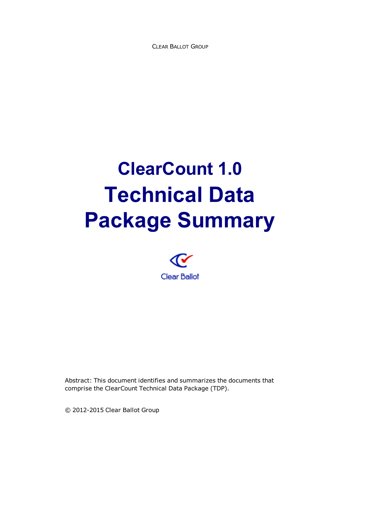**CLEAR BALLOT GROUP** 

# **ClearCount 1.0 Technical Data Package Summary**



Abstract: This document identifies and summarizes the documents that comprise the ClearCount Technical Data Package (TDP).

© 2012-2015 Clear Ballot Group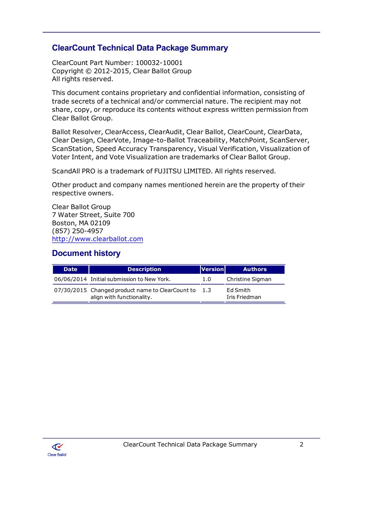### **ClearCount Technical Data Package Summary**

ClearCount Part Number: 100032-10001 Copyright © 2012-2015, Clear Ballot Group All rights reserved.

This document contains proprietary and confidential information, consisting of trade secrets of a technical and/or commercial nature. The recipient may not share, copy, or reproduce its contents without express written permission from Clear Ballot Group.

Ballot Resolver, ClearAccess, ClearAudit, Clear Ballot, ClearCount, ClearData, Clear Design, ClearVote, Image-to-Ballot Traceability, MatchPoint, ScanServer, ScanStation, Speed Accuracy Transparency, Visual Verification, Visualization of Voter Intent, and Vote Visualization are trademarks of Clear Ballot Group.

ScandAll PRO is a trademark of FUJITSU LIMITED. All rights reserved.

Other product and company names mentioned herein are the property of their respective owners.

**Clear Ballot Group** 7 Water Street, Suite 700 Boston, MA 02109 (857) 250-4957 http://www.clearballot.com

#### **Document history**

| <b>Date</b> | <b>Description</b>                                                            | <b>Version</b> | <b>Authors</b>            |
|-------------|-------------------------------------------------------------------------------|----------------|---------------------------|
|             | 06/06/2014 Initial submission to New York.                                    | 1.0            | Christine Sigman          |
|             | 07/30/2015 Changed product name to ClearCount to<br>align with functionality. | -1.3           | Ed Smith<br>Iris Friedman |

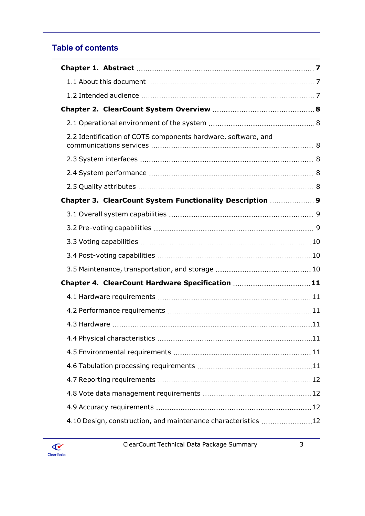# **Table of contents**

| 2.2 Identification of COTS components hardware, software, and |  |
|---------------------------------------------------------------|--|
|                                                               |  |
|                                                               |  |
|                                                               |  |
| Chapter 3. ClearCount System Functionality Description  9     |  |
|                                                               |  |
|                                                               |  |
|                                                               |  |
|                                                               |  |
|                                                               |  |
| Chapter 4. ClearCount Hardware Specification 11               |  |
|                                                               |  |
|                                                               |  |
|                                                               |  |
|                                                               |  |
|                                                               |  |
|                                                               |  |
|                                                               |  |
|                                                               |  |
|                                                               |  |
| 4.10 Design, construction, and maintenance characteristics 12 |  |
|                                                               |  |

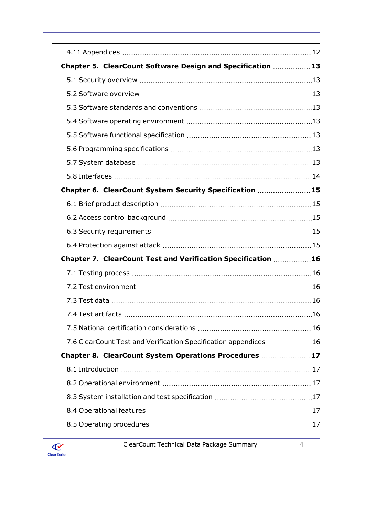| Chapter 5. ClearCount Software Design and Specification  13      |      |
|------------------------------------------------------------------|------|
|                                                                  |      |
|                                                                  |      |
|                                                                  |      |
|                                                                  |      |
|                                                                  |      |
|                                                                  |      |
|                                                                  |      |
|                                                                  |      |
| Chapter 6. ClearCount System Security Specification  15          |      |
|                                                                  |      |
|                                                                  |      |
|                                                                  |      |
|                                                                  |      |
| Chapter 7. ClearCount Test and Verification Specification 16     |      |
|                                                                  |      |
|                                                                  |      |
|                                                                  |      |
| 7.4 Test artifacts                                               | . 16 |
|                                                                  |      |
| 7.6 ClearCount Test and Verification Specification appendices 16 |      |
| Chapter 8. ClearCount System Operations Procedures  17           |      |
|                                                                  |      |
|                                                                  |      |
|                                                                  |      |
|                                                                  |      |
|                                                                  |      |
|                                                                  |      |

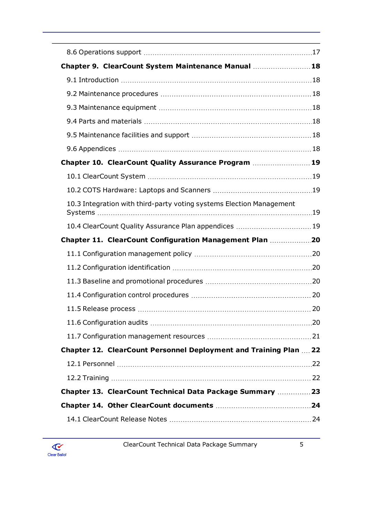| Chapter 9. ClearCount System Maintenance Manual  18                  |  |
|----------------------------------------------------------------------|--|
|                                                                      |  |
|                                                                      |  |
|                                                                      |  |
|                                                                      |  |
|                                                                      |  |
|                                                                      |  |
| Chapter 10. ClearCount Quality Assurance Program  19                 |  |
|                                                                      |  |
|                                                                      |  |
| 10.3 Integration with third-party voting systems Election Management |  |
|                                                                      |  |
| Chapter 11. ClearCount Configuration Management Plan 20              |  |
|                                                                      |  |
|                                                                      |  |
|                                                                      |  |
|                                                                      |  |
|                                                                      |  |
|                                                                      |  |
|                                                                      |  |
|                                                                      |  |
| Chapter 12. ClearCount Personnel Deployment and Training Plan  22    |  |
|                                                                      |  |
|                                                                      |  |
| Chapter 13. ClearCount Technical Data Package Summary  23            |  |
|                                                                      |  |
|                                                                      |  |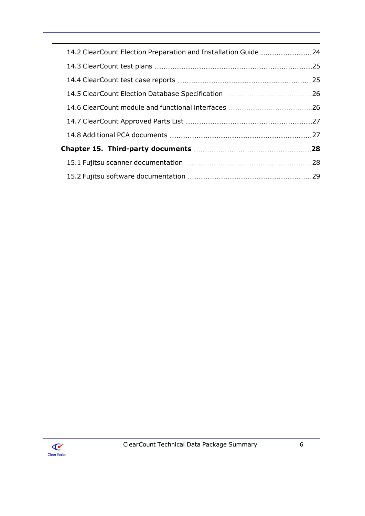| 14.2 ClearCount Election Preparation and Installation Guide 24 |  |
|----------------------------------------------------------------|--|
|                                                                |  |
|                                                                |  |
|                                                                |  |
|                                                                |  |
|                                                                |  |
|                                                                |  |
|                                                                |  |
|                                                                |  |
|                                                                |  |

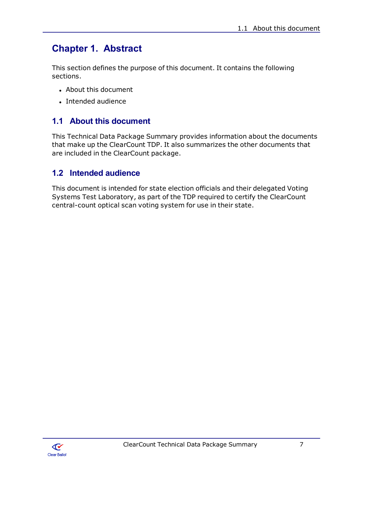# **Chapter 1. Abstract**

This section defines the purpose of this document. It contains the following sections.

- About this document
- · Intended audience

# 1.1 About this document

This Technical Data Package Summary provides information about the documents that make up the ClearCount TDP. It also summarizes the other documents that are included in the ClearCount package.

### 1.2 Intended audience

This document is intended for state election officials and their delegated Voting Systems Test Laboratory, as part of the TDP required to certify the ClearCount central-count optical scan voting system for use in their state.

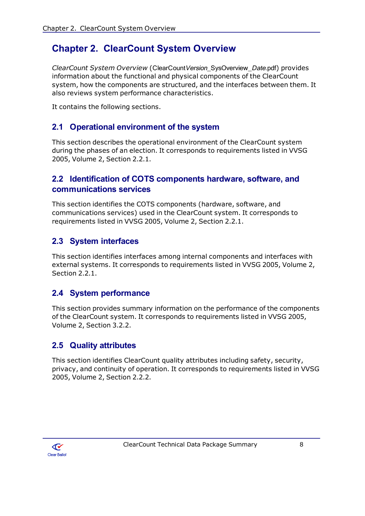# **Chapter 2. ClearCount System Overview**

ClearCount System Overview (ClearCountVersion\_SysOverview\_Date.pdf) provides information about the functional and physical components of the ClearCount system, how the components are structured, and the interfaces between them. It also reviews system performance characteristics.

It contains the following sections.

### 2.1 Operational environment of the system

This section describes the operational environment of the ClearCount system during the phases of an election. It corresponds to requirements listed in VVSG 2005, Volume 2, Section 2.2.1.

### 2.2 Identification of COTS components hardware, software, and communications services

This section identifies the COTS components (hardware, software, and communications services) used in the ClearCount system. It corresponds to requirements listed in VVSG 2005, Volume 2, Section 2.2.1.

### 2.3 System interfaces

This section identifies interfaces among internal components and interfaces with external systems. It corresponds to requirements listed in VVSG 2005, Volume 2, Section 2.2.1.

#### 2.4 System performance

This section provides summary information on the performance of the components of the ClearCount system. It corresponds to requirements listed in VVSG 2005, Volume 2, Section 3.2.2.

### **2.5 Quality attributes**

This section identifies ClearCount quality attributes including safety, security, privacy, and continuity of operation. It corresponds to requirements listed in VVSG 2005, Volume 2, Section 2.2.2.

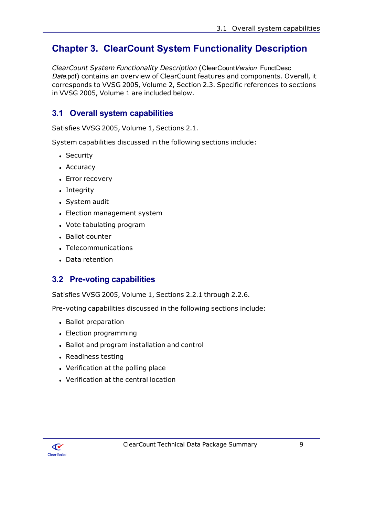# **Chapter 3. ClearCount System Functionality Description**

ClearCount System Functionality Description (ClearCountVersion\_FunctDesc\_ Date.pdf) contains an overview of ClearCount features and components. Overall, it corresponds to VVSG 2005, Volume 2, Section 2.3. Specific references to sections in VVSG 2005, Volume 1 are included below.

# 3.1 Overall system capabilities

Satisfies VVSG 2005, Volume 1, Sections 2.1.

System capabilities discussed in the following sections include:

- Security
- Accuracy
- Error recovery
- Integrity
- System audit
- Election management system
- Vote tabulating program
- Ballot counter
- Telecommunications
- Data retention

#### 3.2 Pre-voting capabilities

Satisfies VVSG 2005, Volume 1, Sections 2.2.1 through 2.2.6.

Pre-voting capabilities discussed in the following sections include:

- Ballot preparation
- Election programming
- Ballot and program installation and control
- Readiness testing
- Verification at the polling place
- Verification at the central location

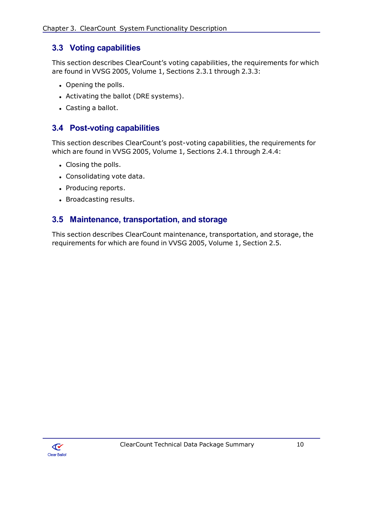### 3.3 Voting capabilities

This section describes ClearCount's voting capabilities, the requirements for which are found in VVSG 2005, Volume 1, Sections 2.3.1 through 2.3.3:

- Opening the polls.
- Activating the ballot (DRE systems).
- Casting a ballot.

#### 3.4 Post-voting capabilities

This section describes ClearCount's post-voting capabilities, the requirements for which are found in VVSG 2005, Volume 1, Sections 2.4.1 through 2.4.4:

- Closing the polls.
- Consolidating vote data.
- Producing reports.
- Broadcasting results.

### 3.5 Maintenance, transportation, and storage

This section describes ClearCount maintenance, transportation, and storage, the requirements for which are found in VVSG 2005, Volume 1, Section 2.5.

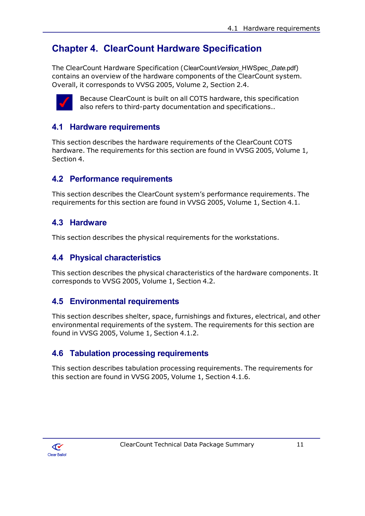# **Chapter 4. ClearCount Hardware Specification**

The ClearCount Hardware Specification (ClearCountVersion\_HWSpec\_Date.pdf) contains an overview of the hardware components of the ClearCount system. Overall, it corresponds to VVSG 2005, Volume 2, Section 2.4.



Because ClearCount is built on all COTS hardware, this specification also refers to third-party documentation and specifications..

### 4.1 Hardware requirements

This section describes the hardware requirements of the ClearCount COTS hardware. The requirements for this section are found in VVSG 2005, Volume 1, Section 4.

### **4.2 Performance requirements**

This section describes the ClearCount system's performance requirements. The requirements for this section are found in VVSG 2005, Volume 1, Section 4.1.

### 4.3 Hardware

This section describes the physical requirements for the workstations.

#### **4.4 Physical characteristics**

This section describes the physical characteristics of the hardware components. It corresponds to VVSG 2005, Volume 1, Section 4.2.

#### **4.5 Environmental requirements**

This section describes shelter, space, furnishings and fixtures, electrical, and other environmental requirements of the system. The requirements for this section are found in VVSG 2005, Volume 1, Section 4.1.2.

#### 4.6 Tabulation processing requirements

This section describes tabulation processing requirements. The requirements for this section are found in VVSG 2005, Volume 1, Section 4.1.6.

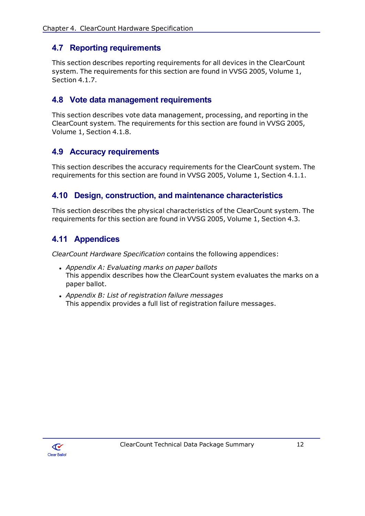### **4.7 Reporting requirements**

This section describes reporting requirements for all devices in the ClearCount system. The requirements for this section are found in VVSG 2005, Volume 1, Section 4.1.7.

#### 4.8 Vote data management requirements

This section describes vote data management, processing, and reporting in the ClearCount system. The requirements for this section are found in VVSG 2005, Volume 1, Section 4.1.8.

#### **4.9 Accuracy requirements**

This section describes the accuracy requirements for the ClearCount system. The requirements for this section are found in VVSG 2005, Volume 1, Section 4.1.1.

#### 4.10 Design, construction, and maintenance characteristics

This section describes the physical characteristics of the ClearCount system. The requirements for this section are found in VVSG 2005, Volume 1, Section 4.3.

### 4.11 Appendices

ClearCount Hardware Specification contains the following appendices:

- Appendix A: Evaluating marks on paper ballots This appendix describes how the ClearCount system evaluates the marks on a paper ballot.
- Appendix B: List of registration failure messages This appendix provides a full list of registration failure messages.

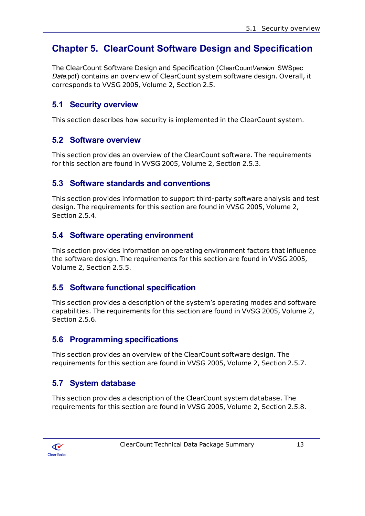# **Chapter 5. ClearCount Software Design and Specification**

The ClearCount Software Design and Specification (ClearCountVersion\_SWSpec\_ Date.pdf) contains an overview of ClearCount system software design. Overall, it corresponds to VVSG 2005, Volume 2, Section 2.5.

#### **5.1 Security overview**

This section describes how security is implemented in the ClearCount system.

#### **5.2 Software overview**

This section provides an overview of the ClearCount software. The requirements for this section are found in VVSG 2005, Volume 2, Section 2.5.3.

### 5.3 Software standards and conventions

This section provides information to support third-party software analysis and test design. The requirements for this section are found in VVSG 2005, Volume 2, Section 2.5.4.

### 5.4 Software operating environment

This section provides information on operating environment factors that influence the software design. The requirements for this section are found in VVSG 2005, Volume 2, Section 2.5.5.

### 5.5 Software functional specification

This section provides a description of the system's operating modes and software capabilities. The requirements for this section are found in VVSG 2005, Volume 2, Section 2.5.6.

### 5.6 Programming specifications

This section provides an overview of the ClearCount software design. The requirements for this section are found in VVSG 2005, Volume 2, Section 2.5.7.

### 5.7 System database

This section provides a description of the ClearCount system database. The requirements for this section are found in VVSG 2005, Volume 2, Section 2.5.8.

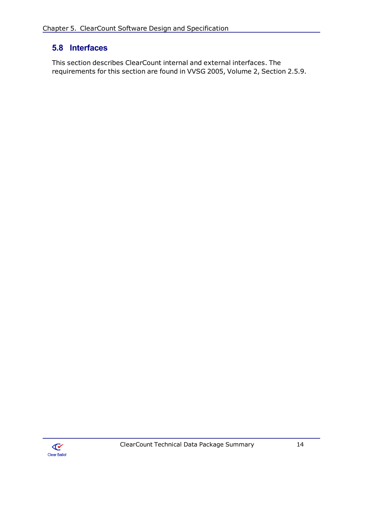# 5.8 Interfaces

This section describes ClearCount internal and external interfaces. The requirements for this section are found in VVSG 2005, Volume 2, Section 2.5.9.

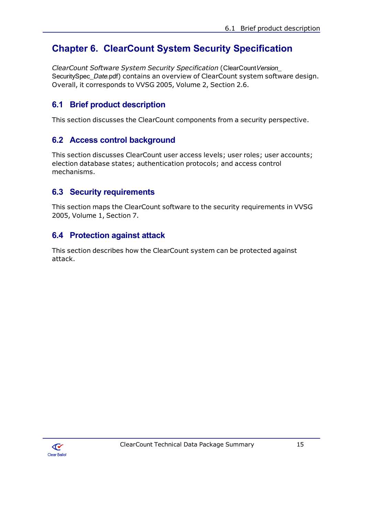# **Chapter 6. ClearCount System Security Specification**

ClearCount Software System Security Specification (ClearCountVersion SecuritySpec\_Date.pdf) contains an overview of ClearCount system software design. Overall, it corresponds to VVSG 2005, Volume 2, Section 2.6.

# **6.1 Brief product description**

This section discusses the ClearCount components from a security perspective.

### **6.2 Access control background**

This section discusses ClearCount user access levels; user roles; user accounts; election database states; authentication protocols; and access control mechanisms.

### **6.3 Security requirements**

This section maps the ClearCount software to the security requirements in VVSG 2005, Volume 1, Section 7.

### **6.4 Protection against attack**

This section describes how the ClearCount system can be protected against attack.

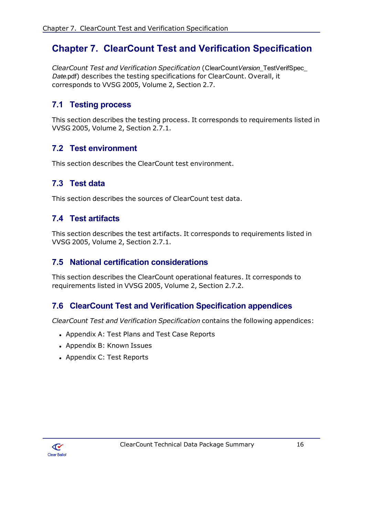# **Chapter 7. ClearCount Test and Verification Specification**

ClearCount Test and Verification Specification (ClearCountVersion\_TestVerifSpec\_ Date.pdf) describes the testing specifications for ClearCount. Overall, it corresponds to VVSG 2005, Volume 2, Section 2.7.

### **7.1 Testing process**

This section describes the testing process. It corresponds to requirements listed in VVSG 2005, Volume 2, Section 2.7.1.

### 7.2 Test environment

This section describes the ClearCount test environment.

### 7.3 Test data

This section describes the sources of ClearCount test data.

### **7.4 Test artifacts**

This section describes the test artifacts. It corresponds to requirements listed in VVSG 2005, Volume 2, Section 2.7.1.

### 7.5 National certification considerations

This section describes the ClearCount operational features. It corresponds to requirements listed in VVSG 2005, Volume 2, Section 2.7.2.

# 7.6 ClearCount Test and Verification Specification appendices

ClearCount Test and Verification Specification contains the following appendices:

- Appendix A: Test Plans and Test Case Reports
- Appendix B: Known Issues
- Appendix C: Test Reports

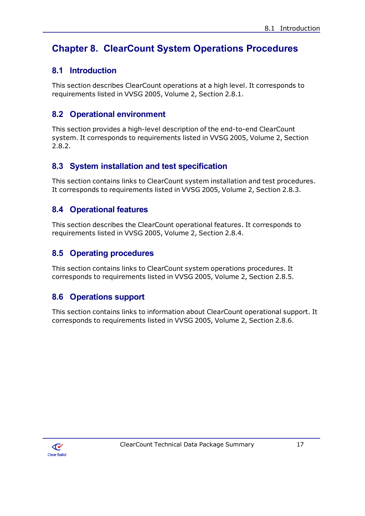# **Chapter 8. ClearCount System Operations Procedures**

### 8.1 Introduction

This section describes ClearCount operations at a high level. It corresponds to requirements listed in VVSG 2005, Volume 2, Section 2.8.1.

### **8.2 Operational environment**

This section provides a high-level description of the end-to-end ClearCount system. It corresponds to requirements listed in VVSG 2005, Volume 2, Section  $2.8.2.$ 

### 8.3 System installation and test specification

This section contains links to ClearCount system installation and test procedures. It corresponds to requirements listed in VVSG 2005, Volume 2, Section 2.8.3.

### **8.4 Operational features**

This section describes the ClearCount operational features. It corresponds to requirements listed in VVSG 2005, Volume 2, Section 2.8.4.

### 8.5 Operating procedures

This section contains links to ClearCount system operations procedures. It corresponds to requirements listed in VVSG 2005, Volume 2, Section 2.8.5.

### **8.6 Operations support**

This section contains links to information about ClearCount operational support. It corresponds to requirements listed in VVSG 2005, Volume 2, Section 2.8.6.

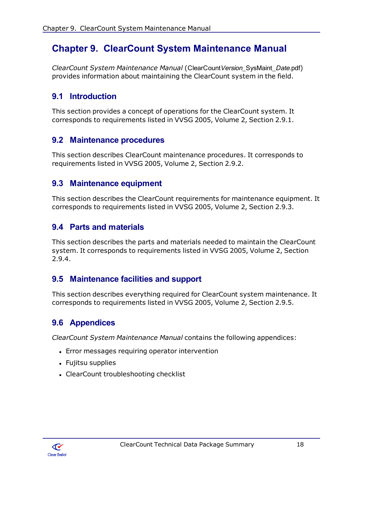# **Chapter 9. ClearCount System Maintenance Manual**

ClearCount System Maintenance Manual (ClearCountVersion\_SysMaint\_Date.pdf) provides information about maintaining the ClearCount system in the field.

### 9.1 Introduction

This section provides a concept of operations for the ClearCount system. It corresponds to requirements listed in VVSG 2005, Volume 2, Section 2.9.1.

### 9.2 Maintenance procedures

This section describes ClearCount maintenance procedures. It corresponds to requirements listed in VVSG 2005, Volume 2, Section 2.9.2.

### 9.3 Maintenance equipment

This section describes the ClearCount requirements for maintenance equipment. It corresponds to requirements listed in VVSG 2005, Volume 2, Section 2.9.3.

### 9.4 Parts and materials

This section describes the parts and materials needed to maintain the ClearCount system. It corresponds to requirements listed in VVSG 2005, Volume 2, Section  $2.9.4.$ 

### 9.5 Maintenance facilities and support

This section describes everything required for ClearCount system maintenance. It corresponds to requirements listed in VVSG 2005, Volume 2, Section 2.9.5.

### 9.6 Appendices

ClearCount System Maintenance Manual contains the following appendices:

- Error messages requiring operator intervention
- Fujitsu supplies
- ClearCount troubleshooting checklist

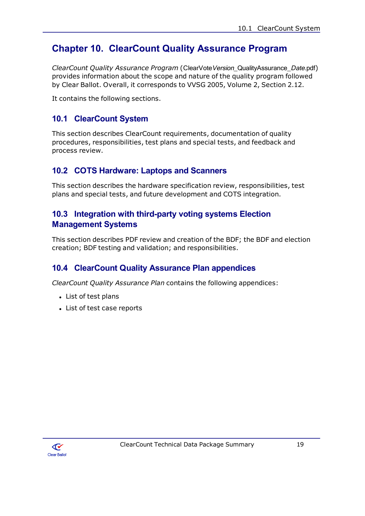# **Chapter 10. ClearCount Quality Assurance Program**

ClearCount Quality Assurance Program (ClearVoteVersion\_QualityAssurance\_Date.pdf) provides information about the scope and nature of the quality program followed by Clear Ballot. Overall, it corresponds to VVSG 2005, Volume 2, Section 2.12.

It contains the following sections.

### **10.1 ClearCount System**

This section describes ClearCount requirements, documentation of quality procedures, responsibilities, test plans and special tests, and feedback and process review.

### 10.2 COTS Hardware: Laptops and Scanners

This section describes the hardware specification review, responsibilities, test plans and special tests, and future development and COTS integration.

### 10.3 Integration with third-party voting systems Election **Management Systems**

This section describes PDF review and creation of the BDF; the BDF and election creation; BDF testing and validation; and responsibilities.

### 10.4 ClearCount Quality Assurance Plan appendices

ClearCount Quality Assurance Plan contains the following appendices:

- List of test plans
- List of test case reports

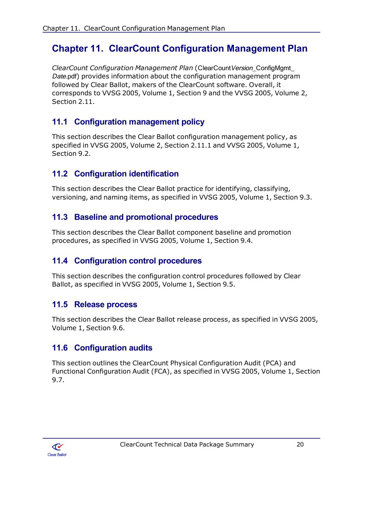# **Chapter 11. ClearCount Configuration Management Plan**

ClearCount Configuration Management Plan (ClearCountVersion\_ConfigMgmt\_ Date.pdf) provides information about the configuration management program followed by Clear Ballot, makers of the ClearCount software. Overall, it corresponds to VVSG 2005, Volume 1, Section 9 and the VVSG 2005, Volume 2, Section 2.11.

### 11.1 Configuration management policy

This section describes the Clear Ballot configuration management policy, as specified in VVSG 2005, Volume 2, Section 2.11.1 and VVSG 2005, Volume 1, Section 9.2.

### 11.2 Configuration identification

This section describes the Clear Ballot practice for identifying, classifying, versioning, and naming items, as specified in VVSG 2005, Volume 1, Section 9.3.

### 11.3 Baseline and promotional procedures

This section describes the Clear Ballot component baseline and promotion procedures, as specified in VVSG 2005, Volume 1, Section 9.4.

### 11.4 Configuration control procedures

This section describes the configuration control procedures followed by Clear Ballot, as specified in VVSG 2005, Volume 1, Section 9.5.

#### 11.5 Release process

This section describes the Clear Ballot release process, as specified in VVSG 2005, Volume 1, Section 9.6.

### **11.6 Configuration audits**

This section outlines the ClearCount Physical Configuration Audit (PCA) and Functional Configuration Audit (FCA), as specified in VVSG 2005, Volume 1, Section  $9.7.$ 

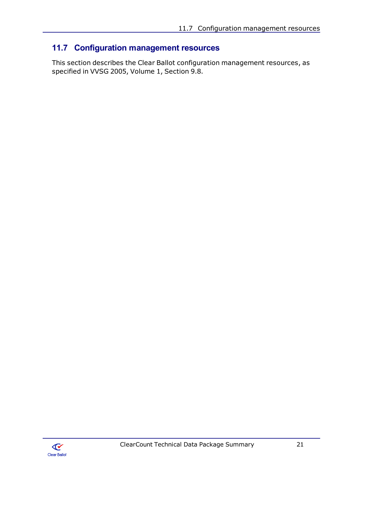# 11.7 Configuration management resources

This section describes the Clear Ballot configuration management resources, as specified in VVSG 2005, Volume 1, Section 9.8.

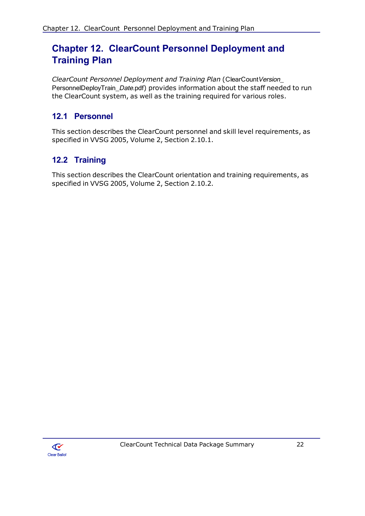# **Chapter 12. ClearCount Personnel Deployment and Training Plan**

ClearCount Personnel Deployment and Training Plan (ClearCountVersion PersonnelDeployTrain\_Date.pdf) provides information about the staff needed to run the ClearCount system, as well as the training required for various roles.

# 12.1 Personnel

This section describes the ClearCount personnel and skill level requirements, as specified in VVSG 2005, Volume 2, Section 2.10.1.

# 12.2 Training

This section describes the ClearCount orientation and training requirements, as specified in VVSG 2005, Volume 2, Section 2.10.2.

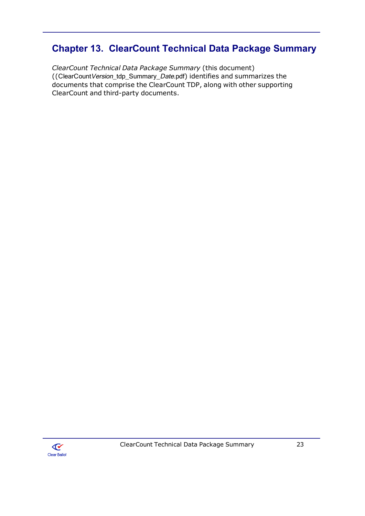# **Chapter 13. ClearCount Technical Data Package Summary**

ClearCount Technical Data Package Summary (this document) ((ClearCountVersion\_tdp\_Summary\_Date.pdf) identifies and summarizes the documents that comprise the ClearCount TDP, along with other supporting ClearCount and third-party documents.

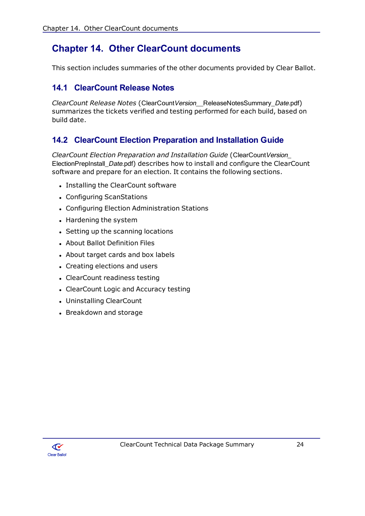# **Chapter 14. Other ClearCount documents**

This section includes summaries of the other documents provided by Clear Ballot.

### **14.1 ClearCount Release Notes**

ClearCount Release Notes (ClearCountVersion ReleaseNotesSummary Date.pdf) summarizes the tickets verified and testing performed for each build, based on build date.

### 14.2 ClearCount Election Preparation and Installation Guide

ClearCount Election Preparation and Installation Guide (ClearCountVersion ElectionPrepInstall\_Date.pdf) describes how to install and configure the ClearCount software and prepare for an election. It contains the following sections.

- Installing the ClearCount software
- Configuring ScanStations
- Configuring Election Administration Stations
- Hardening the system
- Setting up the scanning locations
- About Ballot Definition Files
- About target cards and box labels
- Creating elections and users
- ClearCount readiness testing
- ClearCount Logic and Accuracy testing
- Uninstalling ClearCount
- Breakdown and storage

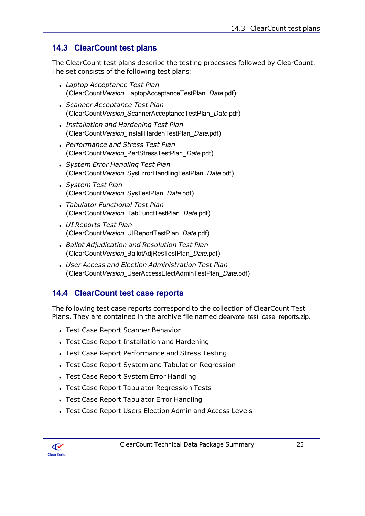### **14.3 ClearCount test plans**

The ClearCount test plans describe the testing processes followed by ClearCount. The set consists of the following test plans:

- Laptop Acceptance Test Plan (ClearCountVersion LaptopAcceptanceTestPlan Date.pdf)
- Scanner Acceptance Test Plan (ClearCountVersion\_ScannerAcceptanceTestPlan\_Date.pdf)
- Installation and Hardening Test Plan (ClearCountVersion\_InstallHardenTestPlan\_Date.pdf)
- Performance and Stress Test Plan (ClearCountVersion\_PerfStressTestPlan\_Date.pdf)
- System Error Handling Test Plan (ClearCountVersion SysErrorHandlingTestPlan Date.pdf)
- System Test Plan (ClearCountVersion\_SysTestPlan\_Date.pdf)
- Tabulator Functional Test Plan (ClearCountVersion TabFunctTestPlan Date.pdf)
- UI Reports Test Plan (ClearCountVersion UIReportTestPlan Date.pdf)
- Ballot Adjudication and Resolution Test Plan (ClearCountVersion BallotAdiResTestPlan Date.pdf)
- User Access and Election Administration Test Plan (ClearCountVersion UserAccessElectAdminTestPlan Date.pdf)

### 14.4 ClearCount test case reports

The following test case reports correspond to the collection of ClearCount Test Plans. They are contained in the archive file named clearvote\_test\_case\_reports.zip.

- Test Case Report Scanner Behavior
- Test Case Report Installation and Hardening
- Test Case Report Performance and Stress Testing
- Test Case Report System and Tabulation Regression
- Test Case Report System Error Handling
- Test Case Report Tabulator Regression Tests
- Test Case Report Tabulator Error Handling
- Test Case Report Users Election Admin and Access Levels

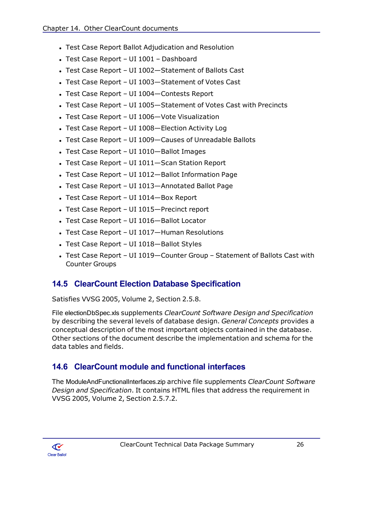- Test Case Report Ballot Adjudication and Resolution
- Test Case Report UI 1001 Dashboard
- Test Case Report UI 1002-Statement of Ballots Cast
- Test Case Report UI 1003-Statement of Votes Cast
- Test Case Report UI 1004-Contests Report
- Test Case Report UI 1005-Statement of Votes Cast with Precincts
- Test Case Report UI 1006-Vote Visualization
- Test Case Report UI 1008-Election Activity Log
- Test Case Report UI 1009-Causes of Unreadable Ballots
- Test Case Report UI 1010-Ballot Images
- Test Case Report UI 1011-Scan Station Report
- Test Case Report UI 1012-Ballot Information Page
- Test Case Report UI 1013-Annotated Ballot Page
- Test Case Report UI 1014-Box Report
- Test Case Report UI 1015-Precinct report
- Test Case Report UI 1016-Ballot Locator
- Test Case Report UI 1017-Human Resolutions
- Test Case Report UI 1018-Ballot Styles
- Test Case Report UI 1019-Counter Group Statement of Ballots Cast with **Counter Groups**

### **14.5 ClearCount Election Database Specification**

Satisfies VVSG 2005, Volume 2, Section 2.5.8.

File electionDbSpec.xls supplements ClearCount Software Design and Specification by describing the several levels of database design. General Concepts provides a conceptual description of the most important objects contained in the database. Other sections of the document describe the implementation and schema for the data tables and fields.

### 14.6 ClearCount module and functional interfaces

The ModuleAndFunctionalInterfaces.zip archive file supplements ClearCount Software Design and Specification. It contains HTML files that address the requirement in VVSG 2005, Volume 2, Section 2.5.7.2.

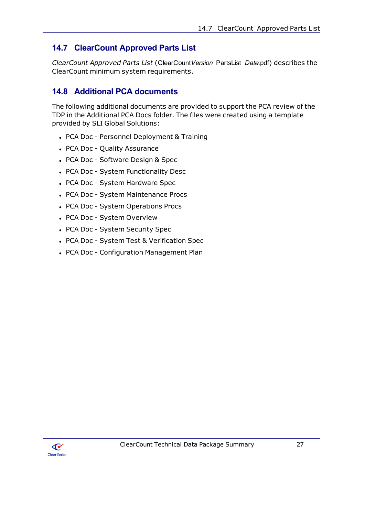# **14.7 ClearCount Approved Parts List**

ClearCount Approved Parts List (ClearCountVersion\_PartsList\_Date.pdf) describes the ClearCount minimum system requirements.

### 14.8 Additional PCA documents

The following additional documents are provided to support the PCA review of the TDP in the Additional PCA Docs folder. The files were created using a template provided by SLI Global Solutions:

- PCA Doc Personnel Deployment & Training
- PCA Doc Quality Assurance
- PCA Doc Software Design & Spec
- PCA Doc System Functionality Desc
- PCA Doc System Hardware Spec
- PCA Doc System Maintenance Procs
- PCA Doc System Operations Procs
- PCA Doc System Overview
- PCA Doc System Security Spec
- PCA Doc System Test & Verification Spec
- PCA Doc Configuration Management Plan

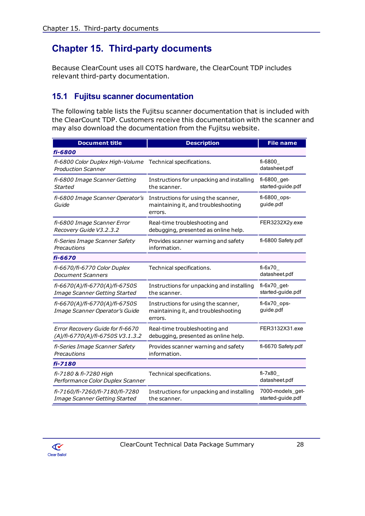# **Chapter 15. Third-party documents**

Because ClearCount uses all COTS hardware, the ClearCount TDP includes relevant third-party documentation.

# 15.1 Fujitsu scanner documentation

The following table lists the Fujitsu scanner documentation that is included with the ClearCount TDP. Customers receive this documentation with the scanner and may also download the documentation from the Fujitsu website.

| <b>Document title</b>                                                | <b>Description</b>                                                                    | <b>File name</b>                      |
|----------------------------------------------------------------------|---------------------------------------------------------------------------------------|---------------------------------------|
| fi-6800                                                              |                                                                                       |                                       |
| fi-6800 Color Duplex High-Volume<br><b>Production Scanner</b>        | Technical specifications.                                                             | fi-6800<br>datasheet.pdf              |
| fi-6800 Image Scanner Getting<br>Started                             | Instructions for unpacking and installing<br>the scanner.                             | fi-6800_get-<br>started-guide.pdf     |
| fi-6800 Image Scanner Operator's<br>Guide                            | Instructions for using the scanner,<br>maintaining it, and troubleshooting<br>errors. | fi-6800_ops-<br>guide.pdf             |
| fi-6800 Image Scanner Error<br>Recovery Guide V3.2.3.2               | Real-time troubleshooting and<br>debugging, presented as online help.                 | FER3232X2y.exe                        |
| fi-Series Image Scanner Safety<br>Precautions                        | Provides scanner warning and safety<br>information.                                   | fi-6800 Safety.pdf                    |
| fi-6670                                                              |                                                                                       |                                       |
| fi-6670/fi-6770 Color Duplex<br><b>Document Scanners</b>             | Technical specifications.                                                             | fi-6x70<br>datasheet.pdf              |
| fi-6670(A)/fi-6770(A)/fi-6750S<br>Image Scanner Getting Started      | Instructions for unpacking and installing<br>the scanner.                             | $fi-6x70$ get-<br>started-guide.pdf   |
| fi-6670(A)/fi-6770(A)/fi-6750S<br>Image Scanner Operator's Guide     | Instructions for using the scanner,<br>maintaining it, and troubleshooting<br>errors. | $fi-6x70$ ops-<br>guide.pdf           |
| Error Recovery Guide for fi-6670<br>(A)/fi-6770(A)/fi-6750S V3.1.3.2 | Real-time troubleshooting and<br>debugging, presented as online help.                 | FER3132X31.exe                        |
| fi-Series Image Scanner Safety<br>Precautions                        | Provides scanner warning and safety<br>information.                                   | fi-6670 Safety.pdf                    |
| fi-7180                                                              |                                                                                       |                                       |
| fi-7180 & fi-7280 High<br>Performance Color Duplex Scanner           | Technical specifications.                                                             | fi-7x80<br>datasheet.pdf              |
| fi-7160/fi-7260/fi-7180/fi-7280<br>Image Scanner Getting Started     | Instructions for unpacking and installing<br>the scanner.                             | 7000-models_get-<br>started-guide.pdf |